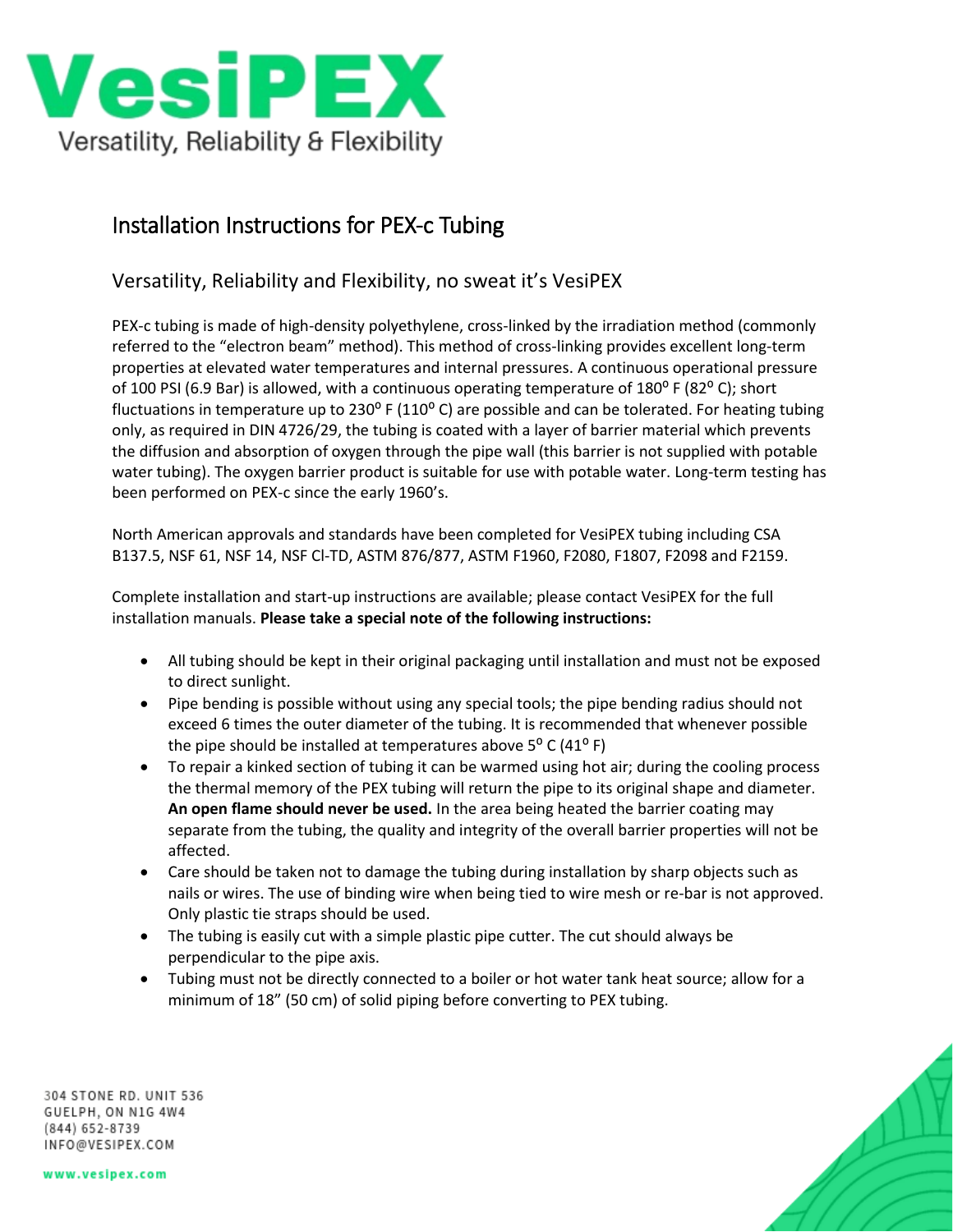

## Installation Instructions for PEX-c Tubing

## Versatility, Reliability and Flexibility, no sweat it's VesiPEX

PEX-c tubing is made of high-density polyethylene, cross-linked by the irradiation method (commonly referred to the "electron beam" method). This method of cross-linking provides excellent long-term properties at elevated water temperatures and internal pressures. A continuous operational pressure of 100 PSI (6.9 Bar) is allowed, with a continuous operating temperature of  $180^{\circ}$  F (82 $^{\circ}$  C); short fluctuations in temperature up to 230 $^{\circ}$  F (110 $^{\circ}$  C) are possible and can be tolerated. For heating tubing only, as required in DIN 4726/29, the tubing is coated with a layer of barrier material which prevents the diffusion and absorption of oxygen through the pipe wall (this barrier is not supplied with potable water tubing). The oxygen barrier product is suitable for use with potable water. Long-term testing has been performed on PEX-c since the early 1960's.

North American approvals and standards have been completed for VesiPEX tubing including CSA B137.5, NSF 61, NSF 14, NSF Cl-TD, ASTM 876/877, ASTM F1960, F2080, F1807, F2098 and F2159.

Complete installation and start-up instructions are available; please contact VesiPEX for the full installation manuals. **Please take a special note of the following instructions:**

- All tubing should be kept in their original packaging until installation and must not be exposed to direct sunlight.
- Pipe bending is possible without using any special tools; the pipe bending radius should not exceed 6 times the outer diameter of the tubing. It is recommended that whenever possible the pipe should be installed at temperatures above  $5^{\circ}$  C (41 $^{\circ}$  F)
- To repair a kinked section of tubing it can be warmed using hot air; during the cooling process the thermal memory of the PEX tubing will return the pipe to its original shape and diameter. **An open flame should never be used.** In the area being heated the barrier coating may separate from the tubing, the quality and integrity of the overall barrier properties will not be affected.
- Care should be taken not to damage the tubing during installation by sharp objects such as nails or wires. The use of binding wire when being tied to wire mesh or re-bar is not approved. Only plastic tie straps should be used.
- The tubing is easily cut with a simple plastic pipe cutter. The cut should always be perpendicular to the pipe axis.
- Tubing must not be directly connected to a boiler or hot water tank heat source; allow for a minimum of 18" (50 cm) of solid piping before converting to PEX tubing.

304 STONE RD. UNIT 536 GUELPH, ON N1G 4W4 (844) 652-8739 INFO@VESIPEX.COM